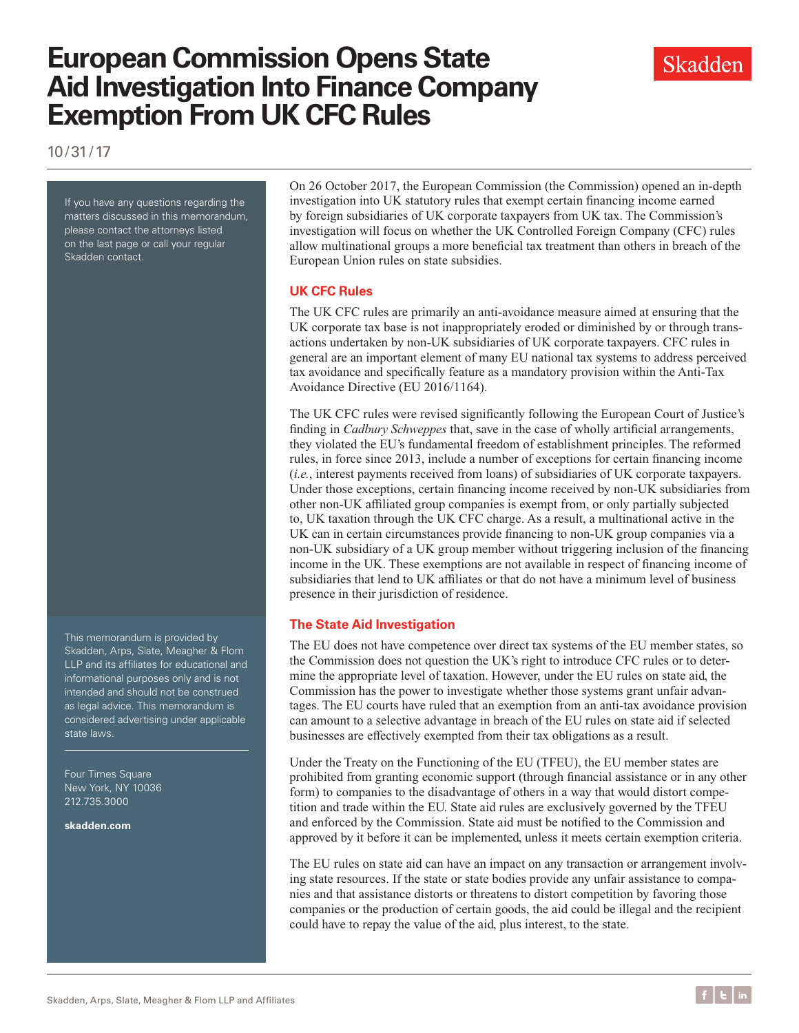# **European Commission Opens State Aid Investigation Into Finance Company Exemption From UK CFC Rules**

10/31/17

If you have any questions regarding the matters discussed in this memorandum, please contact the attorneys listed on the last page or call your regular Skadden contact.

This memorandum is provided by Skadden, Arps, Slate, Meagher & Flom LLP and its affiliates for educational and informational purposes only and is not intended and should not be construed as legal advice. This memorandum is considered advertising under applicable state laws.

Four Times Square New York, NY 10036 212.735.3000

**skadden.com**

On 26 October 2017, the European Commission (the Commission) opened an in-depth investigation into UK statutory rules that exempt certain financing income earned by foreign subsidiaries of UK corporate taxpayers from UK tax. The Commission's investigation will focus on whether the UK Controlled Foreign Company (CFC) rules allow multinational groups a more beneficial tax treatment than others in breach of the European Union rules on state subsidies.

#### **UK CFC Rules**

The UK CFC rules are primarily an anti-avoidance measure aimed at ensuring that the UK corporate tax base is not inappropriately eroded or diminished by or through transactions undertaken by non-UK subsidiaries of UK corporate taxpayers. CFC rules in general are an important element of many EU national tax systems to address perceived tax avoidance and specifically feature as a mandatory provision within the Anti-Tax Avoidance Directive (EU 2016/1164).

The UK CFC rules were revised significantly following the European Court of Justice's finding in *Cadbury Schweppes* that, save in the case of wholly artificial arrangements, they violated the EU's fundamental freedom of establishment principles. The reformed rules, in force since 2013, include a number of exceptions for certain financing income (*i.e.*, interest payments received from loans) of subsidiaries of UK corporate taxpayers. Under those exceptions, certain financing income received by non-UK subsidiaries from other non-UK affiliated group companies is exempt from, or only partially subjected to, UK taxation through the UK CFC charge. As a result, a multinational active in the UK can in certain circumstances provide financing to non-UK group companies via a non-UK subsidiary of a UK group member without triggering inclusion of the financing income in the UK. These exemptions are not available in respect of financing income of subsidiaries that lend to UK affiliates or that do not have a minimum level of business presence in their jurisdiction of residence.

### **The State Aid Investigation**

The EU does not have competence over direct tax systems of the EU member states, so the Commission does not question the UK's right to introduce CFC rules or to determine the appropriate level of taxation. However, under the EU rules on state aid, the Commission has the power to investigate whether those systems grant unfair advantages. The EU courts have ruled that an exemption from an anti-tax avoidance provision can amount to a selective advantage in breach of the EU rules on state aid if selected businesses are effectively exempted from their tax obligations as a result.

Under the Treaty on the Functioning of the EU (TFEU), the EU member states are prohibited from granting economic support (through financial assistance or in any other form) to companies to the disadvantage of others in a way that would distort competition and trade within the EU. State aid rules are exclusively governed by the TFEU and enforced by the Commission. State aid must be notified to the Commission and approved by it before it can be implemented, unless it meets certain exemption criteria.

The EU rules on state aid can have an impact on any transaction or arrangement involving state resources. If the state or state bodies provide any unfair assistance to companies and that assistance distorts or threatens to distort competition by favoring those companies or the production of certain goods, the aid could be illegal and the recipient could have to repay the value of the aid, plus interest, to the state.



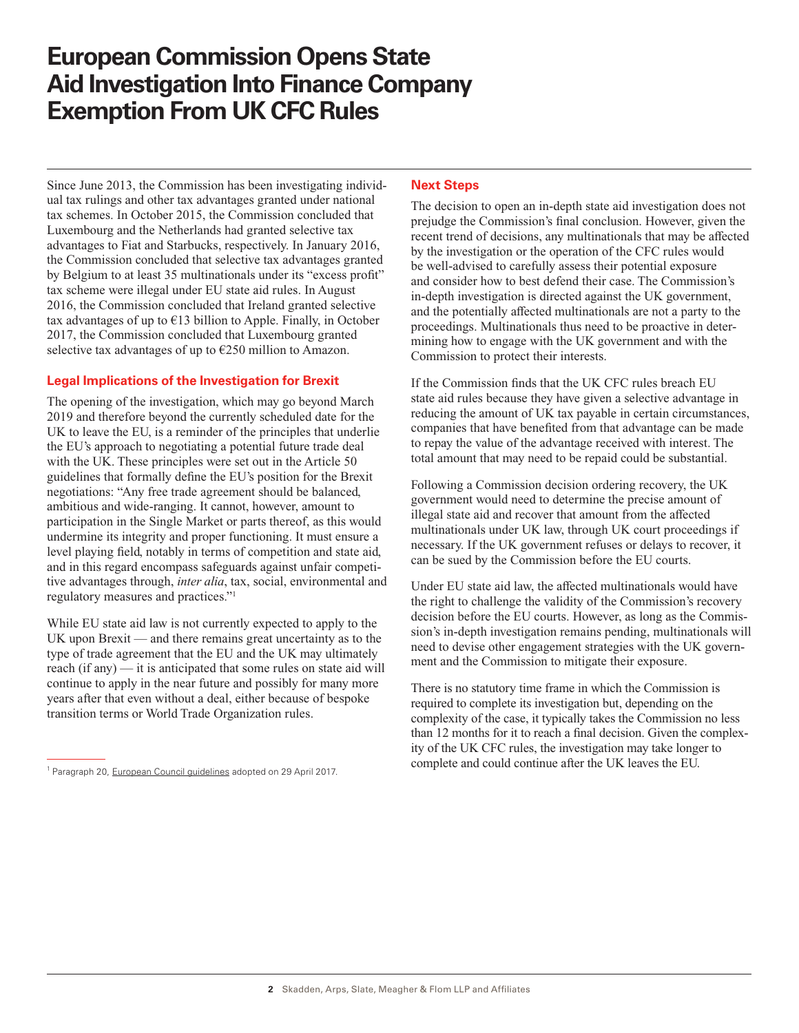# **European Commission Opens State Aid Investigation Into Finance Company Exemption From UK CFC Rules**

Since June 2013, the Commission has been investigating individual tax rulings and other tax advantages granted under national tax schemes. In October 2015, the Commission concluded that Luxembourg and the Netherlands had granted selective tax advantages to Fiat and Starbucks, respectively. In January 2016, the Commission concluded that selective tax advantages granted by Belgium to at least 35 multinationals under its "excess profit" tax scheme were illegal under EU state aid rules. In August 2016, the Commission concluded that Ireland granted selective tax advantages of up to  $E13$  billion to Apple. Finally, in October 2017, the Commission concluded that Luxembourg granted selective tax advantages of up to €250 million to Amazon.

#### **Legal Implications of the Investigation for Brexit**

The opening of the investigation, which may go beyond March 2019 and therefore beyond the currently scheduled date for the UK to leave the EU, is a reminder of the principles that underlie the EU's approach to negotiating a potential future trade deal with the UK. These principles were set out in the Article 50 guidelines that formally define the EU's position for the Brexit negotiations: "Any free trade agreement should be balanced, ambitious and wide-ranging. It cannot, however, amount to participation in the Single Market or parts thereof, as this would undermine its integrity and proper functioning. It must ensure a level playing field, notably in terms of competition and state aid, and in this regard encompass safeguards against unfair competitive advantages through, *inter alia*, tax, social, environmental and regulatory measures and practices."1

While EU state aid law is not currently expected to apply to the UK upon Brexit — and there remains great uncertainty as to the type of trade agreement that the EU and the UK may ultimately reach (if any) — it is anticipated that some rules on state aid will continue to apply in the near future and possibly for many more years after that even without a deal, either because of bespoke transition terms or World Trade Organization rules.

#### **Next Steps**

The decision to open an in-depth state aid investigation does not prejudge the Commission's final conclusion. However, given the recent trend of decisions, any multinationals that may be affected by the investigation or the operation of the CFC rules would be well-advised to carefully assess their potential exposure and consider how to best defend their case. The Commission's in-depth investigation is directed against the UK government, and the potentially affected multinationals are not a party to the proceedings. Multinationals thus need to be proactive in determining how to engage with the UK government and with the Commission to protect their interests.

If the Commission finds that the UK CFC rules breach EU state aid rules because they have given a selective advantage in reducing the amount of UK tax payable in certain circumstances, companies that have benefited from that advantage can be made to repay the value of the advantage received with interest. The total amount that may need to be repaid could be substantial.

Following a Commission decision ordering recovery, the UK government would need to determine the precise amount of illegal state aid and recover that amount from the affected multinationals under UK law, through UK court proceedings if necessary. If the UK government refuses or delays to recover, it can be sued by the Commission before the EU courts.

Under EU state aid law, the affected multinationals would have the right to challenge the validity of the Commission's recovery decision before the EU courts. However, as long as the Commission's in-depth investigation remains pending, multinationals will need to devise other engagement strategies with the UK government and the Commission to mitigate their exposure.

There is no statutory time frame in which the Commission is required to complete its investigation but, depending on the complexity of the case, it typically takes the Commission no less than 12 months for it to reach a final decision. Given the complexity of the UK CFC rules, the investigation may take longer to complete and could continue after the UK leaves the EU.

<sup>1</sup> Paragraph 20, [European Council guidelines](http://www.consilium.europa.eu/en/press/press-releases/2017/04/29/euco-brexit-guidelines/) adopted on 29 April 2017.